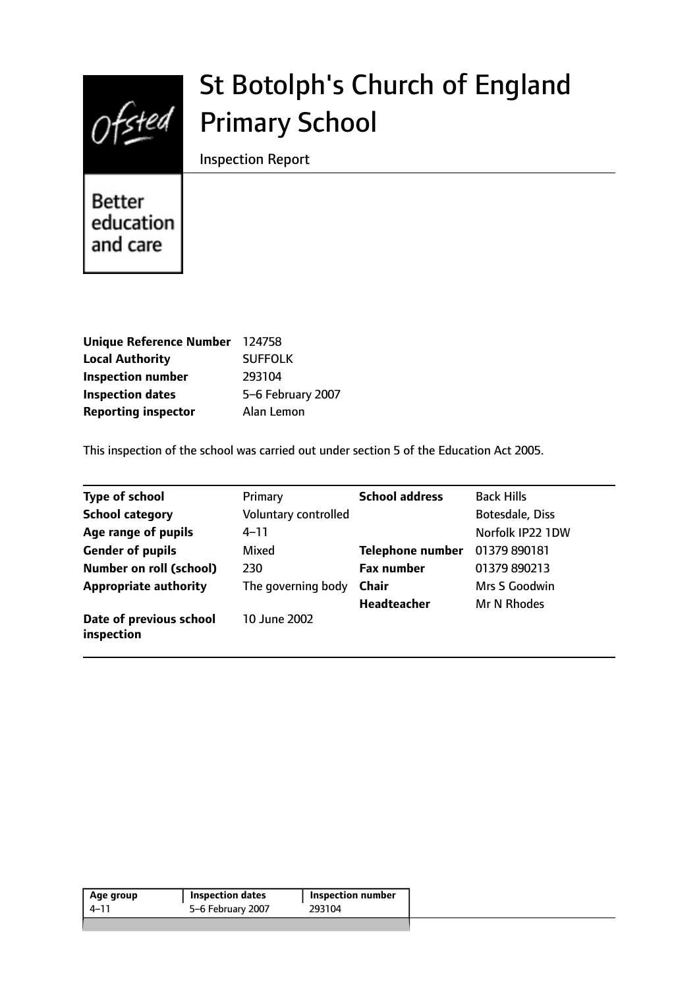

# St Botolph's Church of England Primary School

Inspection Report

**Better** education and care

| Unique Reference Number 124758 |                   |
|--------------------------------|-------------------|
| <b>Local Authority</b>         | <b>SUFFOLK</b>    |
| <b>Inspection number</b>       | 293104            |
| <b>Inspection dates</b>        | 5-6 February 2007 |
| <b>Reporting inspector</b>     | Alan Lemon        |

This inspection of the school was carried out under section 5 of the Education Act 2005.

| <b>Type of school</b>                 | Primary              | <b>School address</b>   | <b>Back Hills</b> |
|---------------------------------------|----------------------|-------------------------|-------------------|
| <b>School category</b>                | Voluntary controlled |                         | Botesdale, Diss   |
| Age range of pupils                   | $4 - 11$             |                         | Norfolk IP22 1DW  |
| <b>Gender of pupils</b>               | Mixed                | <b>Telephone number</b> | 01379 890181      |
| <b>Number on roll (school)</b>        | 230                  | <b>Fax number</b>       | 01379 890213      |
| <b>Appropriate authority</b>          | The governing body   | <b>Chair</b>            | Mrs S Goodwin     |
|                                       |                      | Headteacher             | Mr N Rhodes       |
| Date of previous school<br>inspection | 10 June 2002         |                         |                   |

| 5-6 February 2007<br>$4 - 11$ | <b>Inspection number</b> |
|-------------------------------|--------------------------|
|                               | 293104                   |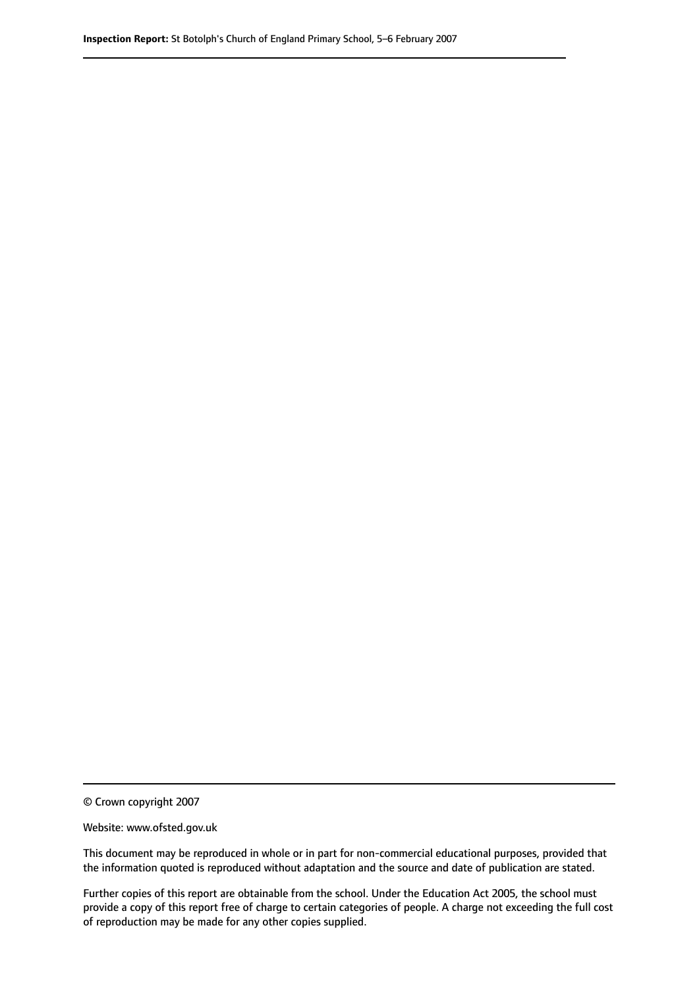© Crown copyright 2007

Website: www.ofsted.gov.uk

This document may be reproduced in whole or in part for non-commercial educational purposes, provided that the information quoted is reproduced without adaptation and the source and date of publication are stated.

Further copies of this report are obtainable from the school. Under the Education Act 2005, the school must provide a copy of this report free of charge to certain categories of people. A charge not exceeding the full cost of reproduction may be made for any other copies supplied.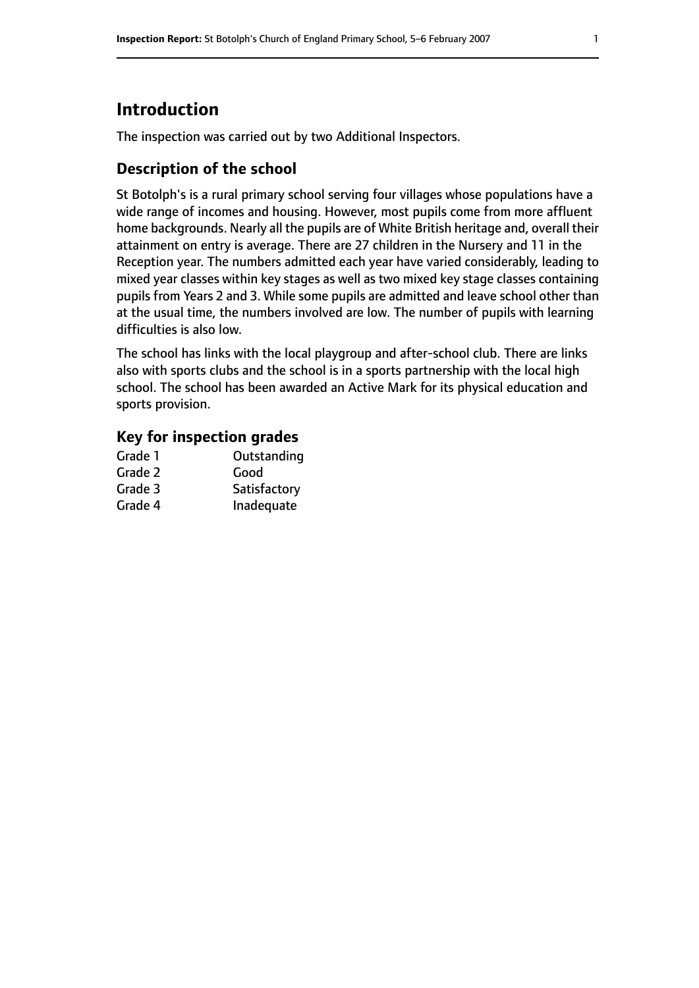# **Introduction**

The inspection was carried out by two Additional Inspectors.

## **Description of the school**

St Botolph's is a rural primary school serving four villages whose populations have a wide range of incomes and housing. However, most pupils come from more affluent home backgrounds. Nearly all the pupils are of White British heritage and, overall their attainment on entry is average. There are 27 children in the Nursery and 11 in the Reception year. The numbers admitted each year have varied considerably, leading to mixed year classes within key stages as well as two mixed key stage classes containing pupils from Years 2 and 3. While some pupils are admitted and leave school other than at the usual time, the numbers involved are low. The number of pupils with learning difficulties is also low.

The school has links with the local playgroup and after-school club. There are links also with sports clubs and the school is in a sports partnership with the local high school. The school has been awarded an Active Mark for its physical education and sports provision.

#### **Key for inspection grades**

| Grade 1 | Outstanding  |
|---------|--------------|
| Grade 2 | Good         |
| Grade 3 | Satisfactory |
| Grade 4 | Inadequate   |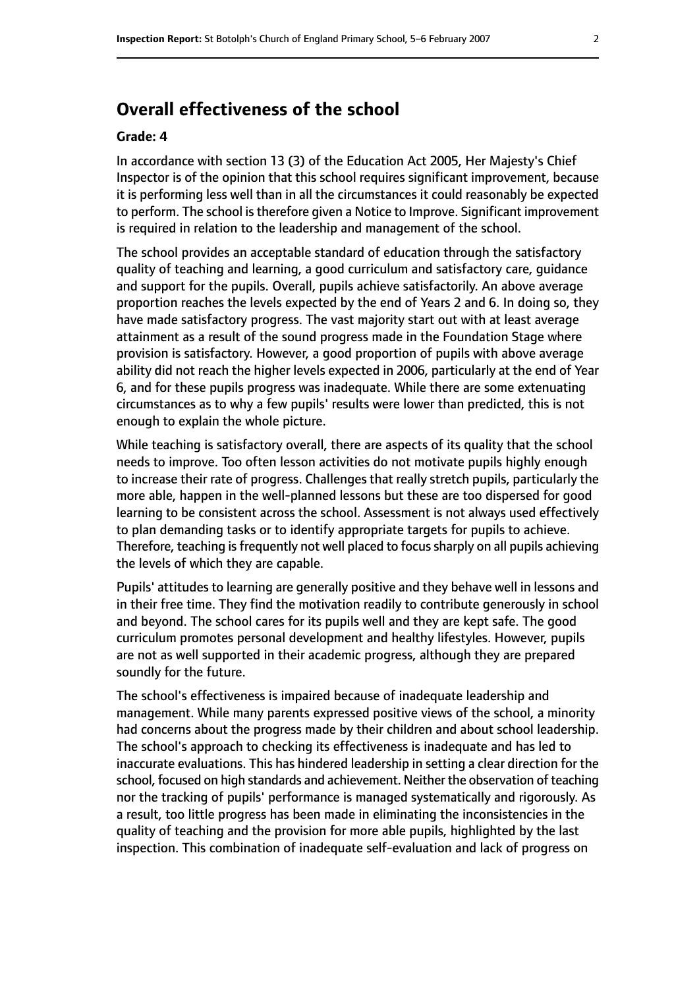## **Overall effectiveness of the school**

#### **Grade: 4**

In accordance with section 13 (3) of the Education Act 2005, Her Majesty's Chief Inspector is of the opinion that this school requires significant improvement, because it is performing less well than in all the circumstances it could reasonably be expected to perform. The school is therefore given a Notice to Improve. Significant improvement is required in relation to the leadership and management of the school.

The school provides an acceptable standard of education through the satisfactory quality of teaching and learning, a good curriculum and satisfactory care, guidance and support for the pupils. Overall, pupils achieve satisfactorily. An above average proportion reaches the levels expected by the end of Years 2 and 6. In doing so, they have made satisfactory progress. The vast majority start out with at least average attainment as a result of the sound progress made in the Foundation Stage where provision is satisfactory. However, a good proportion of pupils with above average ability did not reach the higher levels expected in 2006, particularly at the end of Year 6, and for these pupils progress was inadequate. While there are some extenuating circumstances as to why a few pupils' results were lower than predicted, this is not enough to explain the whole picture.

While teaching is satisfactory overall, there are aspects of its quality that the school needs to improve. Too often lesson activities do not motivate pupils highly enough to increase their rate of progress. Challenges that really stretch pupils, particularly the more able, happen in the well-planned lessons but these are too dispersed for good learning to be consistent across the school. Assessment is not always used effectively to plan demanding tasks or to identify appropriate targets for pupils to achieve. Therefore, teaching is frequently not well placed to focus sharply on all pupils achieving the levels of which they are capable.

Pupils' attitudes to learning are generally positive and they behave well in lessons and in their free time. They find the motivation readily to contribute generously in school and beyond. The school cares for its pupils well and they are kept safe. The good curriculum promotes personal development and healthy lifestyles. However, pupils are not as well supported in their academic progress, although they are prepared soundly for the future.

The school's effectiveness is impaired because of inadequate leadership and management. While many parents expressed positive views of the school, a minority had concerns about the progress made by their children and about school leadership. The school's approach to checking its effectiveness is inadequate and has led to inaccurate evaluations. This has hindered leadership in setting a clear direction for the school, focused on high standards and achievement. Neither the observation of teaching nor the tracking of pupils' performance is managed systematically and rigorously. As a result, too little progress has been made in eliminating the inconsistencies in the quality of teaching and the provision for more able pupils, highlighted by the last inspection. This combination of inadequate self-evaluation and lack of progress on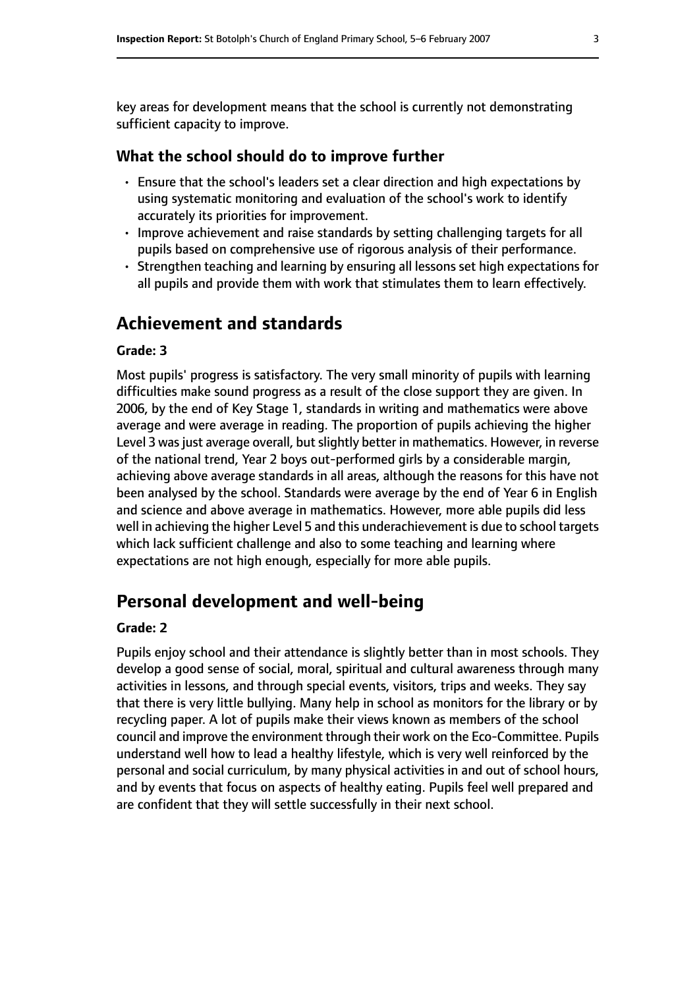key areas for development means that the school is currently not demonstrating sufficient capacity to improve.

#### **What the school should do to improve further**

- Ensure that the school's leaders set a clear direction and high expectations by using systematic monitoring and evaluation of the school's work to identify accurately its priorities for improvement.
- Improve achievement and raise standards by setting challenging targets for all pupils based on comprehensive use of rigorous analysis of their performance.
- Strengthen teaching and learning by ensuring all lessons set high expectations for all pupils and provide them with work that stimulates them to learn effectively.

## **Achievement and standards**

#### **Grade: 3**

Most pupils' progress is satisfactory. The very small minority of pupils with learning difficulties make sound progress as a result of the close support they are given. In 2006, by the end of Key Stage 1, standards in writing and mathematics were above average and were average in reading. The proportion of pupils achieving the higher Level 3 was just average overall, but slightly better in mathematics. However, in reverse of the national trend, Year 2 boys out-performed girls by a considerable margin, achieving above average standards in all areas, although the reasons for this have not been analysed by the school. Standards were average by the end of Year 6 in English and science and above average in mathematics. However, more able pupils did less well in achieving the higher Level 5 and this underachievement is due to school targets which lack sufficient challenge and also to some teaching and learning where expectations are not high enough, especially for more able pupils.

## **Personal development and well-being**

#### **Grade: 2**

Pupils enjoy school and their attendance is slightly better than in most schools. They develop a good sense of social, moral, spiritual and cultural awareness through many activities in lessons, and through special events, visitors, trips and weeks. They say that there is very little bullying. Many help in school as monitors for the library or by recycling paper. A lot of pupils make their views known as members of the school council and improve the environment through their work on the Eco-Committee. Pupils understand well how to lead a healthy lifestyle, which is very well reinforced by the personal and social curriculum, by many physical activities in and out of school hours, and by events that focus on aspects of healthy eating. Pupils feel well prepared and are confident that they will settle successfully in their next school.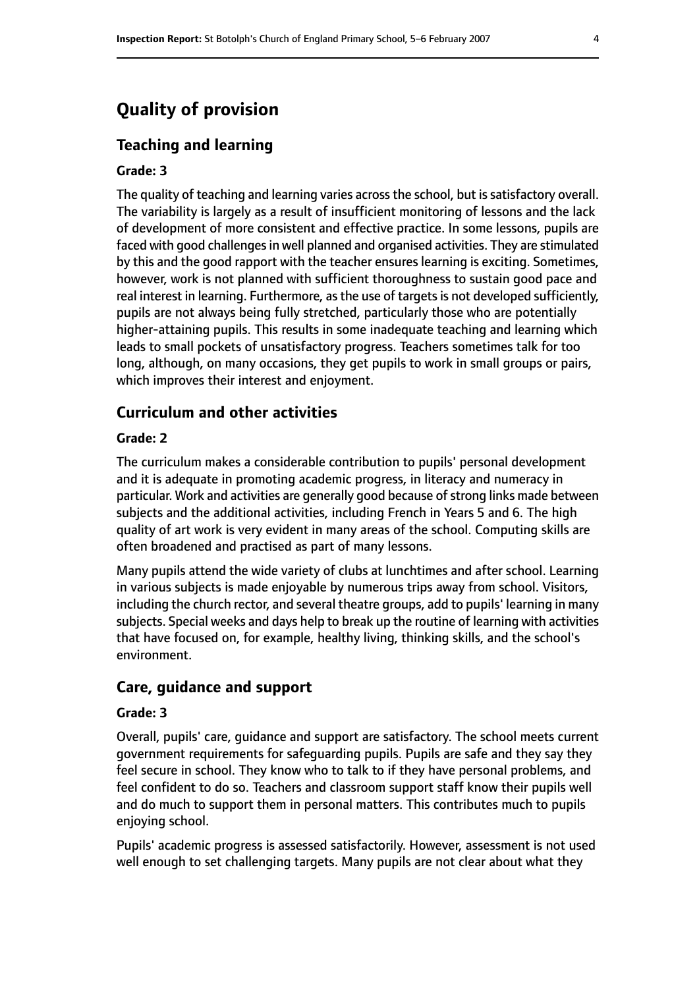## **Quality of provision**

#### **Teaching and learning**

#### **Grade: 3**

The quality of teaching and learning varies across the school, but is satisfactory overall. The variability is largely as a result of insufficient monitoring of lessons and the lack of development of more consistent and effective practice. In some lessons, pupils are faced with good challenges in well planned and organised activities. They are stimulated by this and the good rapport with the teacher ensures learning is exciting. Sometimes, however, work is not planned with sufficient thoroughness to sustain good pace and real interest in learning. Furthermore, as the use of targets is not developed sufficiently, pupils are not always being fully stretched, particularly those who are potentially higher-attaining pupils. This results in some inadequate teaching and learning which leads to small pockets of unsatisfactory progress. Teachers sometimes talk for too long, although, on many occasions, they get pupils to work in small groups or pairs, which improves their interest and enjoyment.

#### **Curriculum and other activities**

#### **Grade: 2**

The curriculum makes a considerable contribution to pupils' personal development and it is adequate in promoting academic progress, in literacy and numeracy in particular. Work and activities are generally good because of strong links made between subjects and the additional activities, including French in Years 5 and 6. The high quality of art work is very evident in many areas of the school. Computing skills are often broadened and practised as part of many lessons.

Many pupils attend the wide variety of clubs at lunchtimes and after school. Learning in various subjects is made enjoyable by numerous trips away from school. Visitors, including the church rector, and several theatre groups, add to pupils' learning in many subjects. Special weeks and days help to break up the routine of learning with activities that have focused on, for example, healthy living, thinking skills, and the school's environment.

#### **Care, guidance and support**

#### **Grade: 3**

Overall, pupils' care, guidance and support are satisfactory. The school meets current government requirements for safeguarding pupils. Pupils are safe and they say they feel secure in school. They know who to talk to if they have personal problems, and feel confident to do so. Teachers and classroom support staff know their pupils well and do much to support them in personal matters. This contributes much to pupils enjoying school.

Pupils' academic progress is assessed satisfactorily. However, assessment is not used well enough to set challenging targets. Many pupils are not clear about what they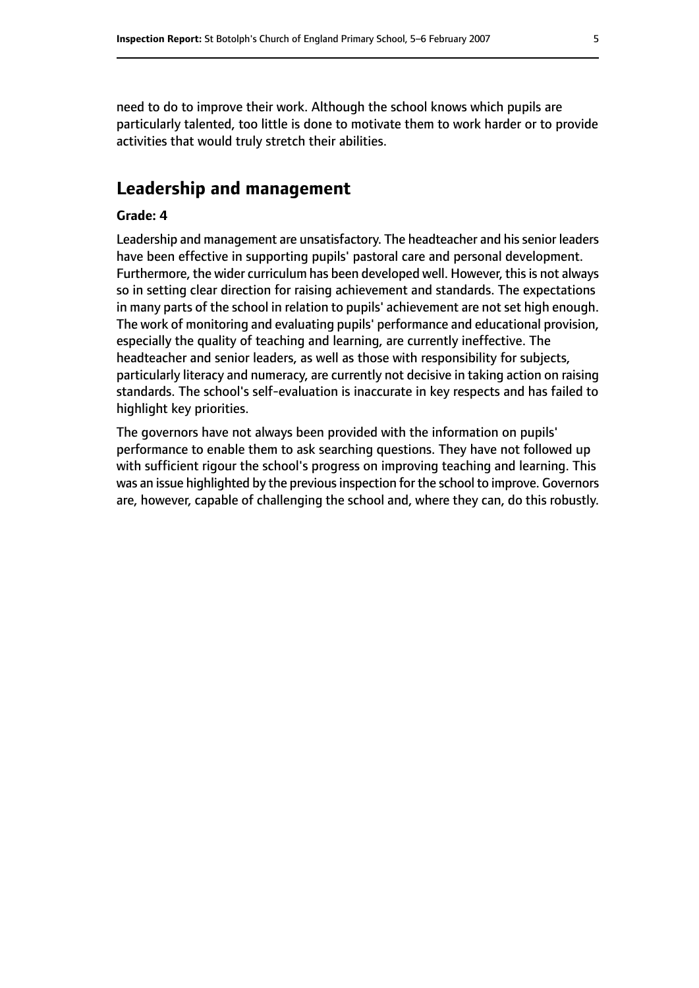need to do to improve their work. Although the school knows which pupils are particularly talented, too little is done to motivate them to work harder or to provide activities that would truly stretch their abilities.

### **Leadership and management**

#### **Grade: 4**

Leadership and management are unsatisfactory. The headteacher and his senior leaders have been effective in supporting pupils' pastoral care and personal development. Furthermore, the wider curriculum has been developed well. However, this is not always so in setting clear direction for raising achievement and standards. The expectations in many parts of the school in relation to pupils' achievement are not set high enough. The work of monitoring and evaluating pupils' performance and educational provision, especially the quality of teaching and learning, are currently ineffective. The headteacher and senior leaders, as well as those with responsibility for subjects, particularly literacy and numeracy, are currently not decisive in taking action on raising standards. The school's self-evaluation is inaccurate in key respects and has failed to highlight key priorities.

The governors have not always been provided with the information on pupils' performance to enable them to ask searching questions. They have not followed up with sufficient rigour the school's progress on improving teaching and learning. This was an issue highlighted by the previous inspection for the school to improve. Governors are, however, capable of challenging the school and, where they can, do this robustly.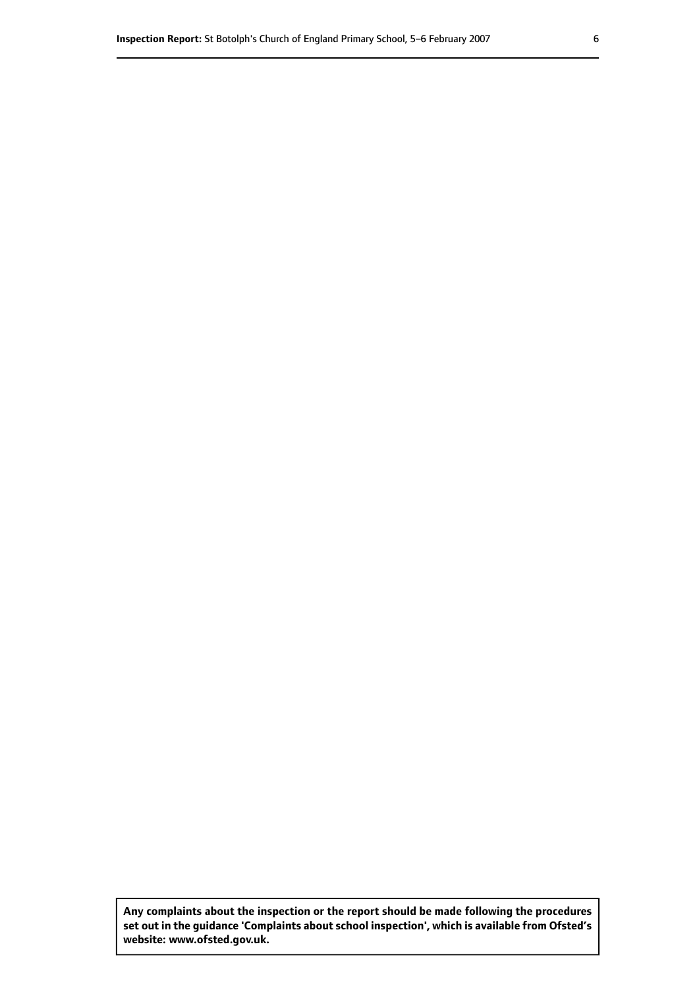**Any complaints about the inspection or the report should be made following the procedures set out inthe guidance 'Complaints about school inspection', whichis available from Ofsted's website: www.ofsted.gov.uk.**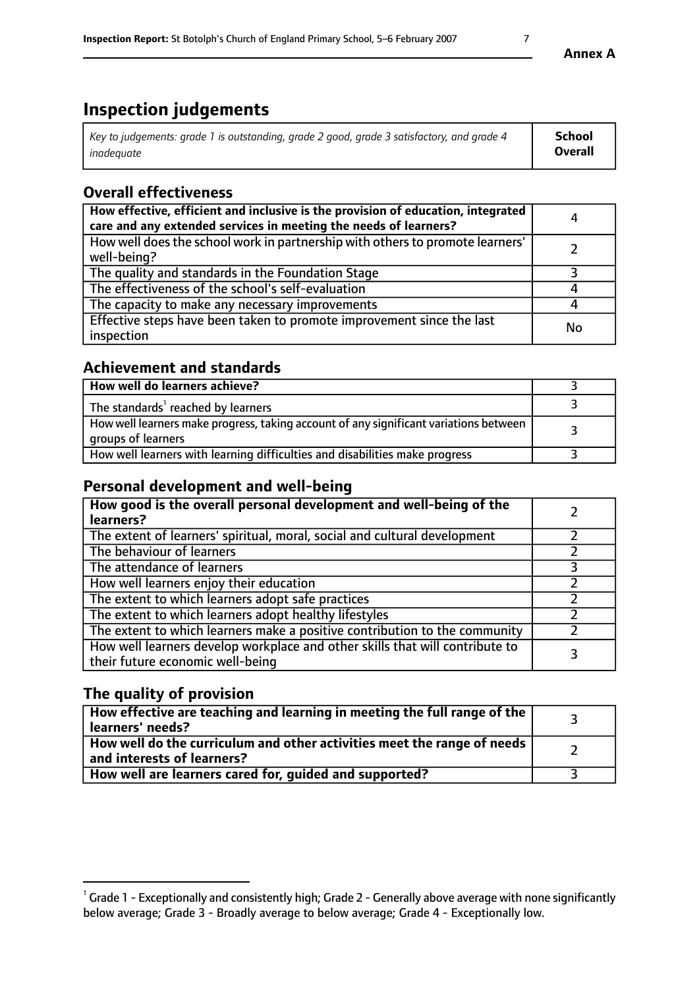# **Inspection judgements**

| Key to judgements: grade 1 is outstanding, grade 2 good, grade 3 satisfactory, and grade 4 | <b>School</b>  |
|--------------------------------------------------------------------------------------------|----------------|
| inadeauate                                                                                 | <b>Overall</b> |

## **Overall effectiveness**

| How effective, efficient and inclusive is the provision of education, integrated<br>care and any extended services in meeting the needs of learners? | 4  |
|------------------------------------------------------------------------------------------------------------------------------------------------------|----|
| How well does the school work in partnership with others to promote learners'<br>well-being?                                                         |    |
| The quality and standards in the Foundation Stage                                                                                                    |    |
| The effectiveness of the school's self-evaluation                                                                                                    |    |
| The capacity to make any necessary improvements                                                                                                      |    |
| Effective steps have been taken to promote improvement since the last<br>inspection                                                                  | No |

## **Achievement and standards**

| How well do learners achieve?                                                                               |  |
|-------------------------------------------------------------------------------------------------------------|--|
| The standards <sup>1</sup> reached by learners                                                              |  |
| How well learners make progress, taking account of any significant variations between<br>groups of learners |  |
| How well learners with learning difficulties and disabilities make progress                                 |  |

## **Personal development and well-being**

| How good is the overall personal development and well-being of the<br>learners?                                  |  |
|------------------------------------------------------------------------------------------------------------------|--|
| The extent of learners' spiritual, moral, social and cultural development                                        |  |
| The behaviour of learners                                                                                        |  |
| The attendance of learners                                                                                       |  |
| How well learners enjoy their education                                                                          |  |
| The extent to which learners adopt safe practices                                                                |  |
| The extent to which learners adopt healthy lifestyles                                                            |  |
| The extent to which learners make a positive contribution to the community                                       |  |
| How well learners develop workplace and other skills that will contribute to<br>their future economic well-being |  |

## **The quality of provision**

| $\Box$ How effective are teaching and learning in meeting the full range of the $\Box$<br>  learners' needs?        |  |
|---------------------------------------------------------------------------------------------------------------------|--|
| $\mid$ How well do the curriculum and other activities meet the range of needs<br>$\mid$ and interests of learners? |  |
| How well are learners cared for, guided and supported?                                                              |  |

 $^1$  Grade 1 - Exceptionally and consistently high; Grade 2 - Generally above average with none significantly below average; Grade 3 - Broadly average to below average; Grade 4 - Exceptionally low.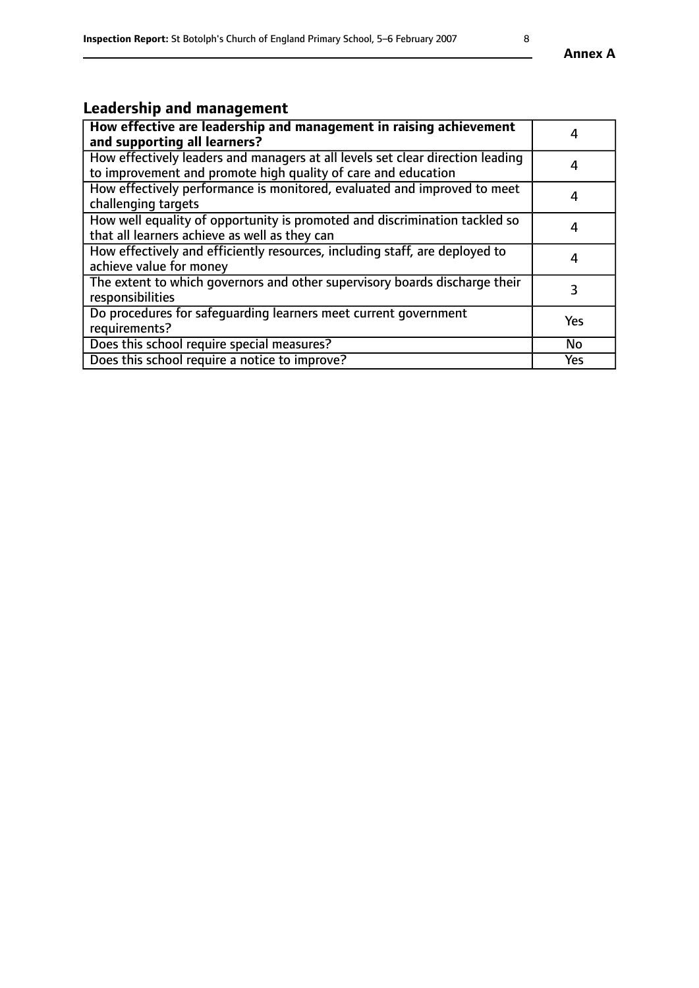# **Leadership and management**

| How effective are leadership and management in raising achievement<br>and supporting all learners?                                              | 4   |
|-------------------------------------------------------------------------------------------------------------------------------------------------|-----|
| How effectively leaders and managers at all levels set clear direction leading<br>to improvement and promote high quality of care and education | 4   |
| How effectively performance is monitored, evaluated and improved to meet<br>challenging targets                                                 | 4   |
| How well equality of opportunity is promoted and discrimination tackled so<br>that all learners achieve as well as they can                     | 4   |
| How effectively and efficiently resources, including staff, are deployed to<br>achieve value for money                                          | 4   |
| The extent to which governors and other supervisory boards discharge their<br>responsibilities                                                  | 3   |
| Do procedures for safequarding learners meet current government<br>requirements?                                                                | Yes |
| Does this school require special measures?                                                                                                      | No  |
| Does this school require a notice to improve?                                                                                                   | Yes |